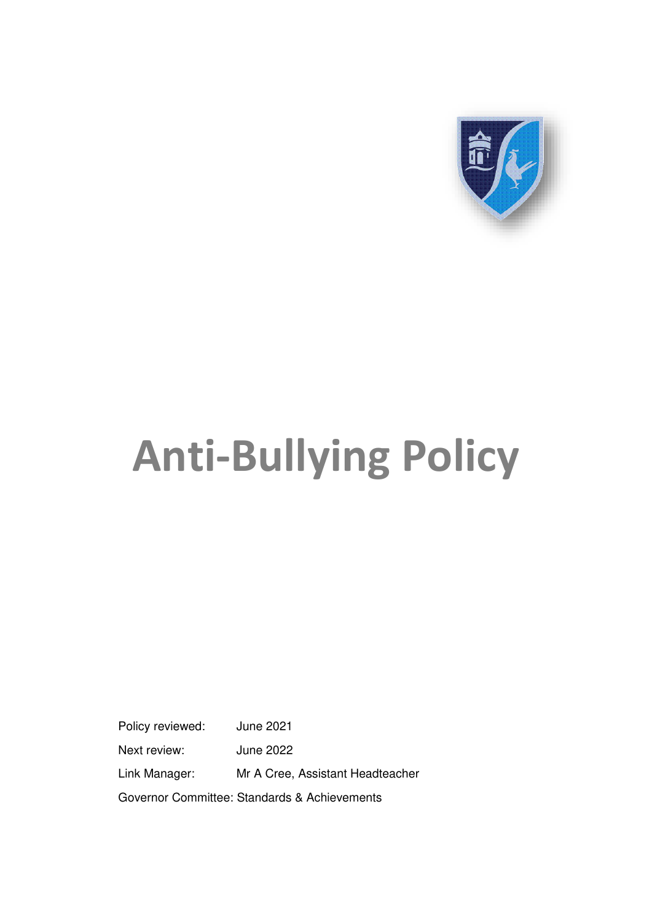

# **Anti-Bullying Policy**

Policy reviewed: June 2021 Next review: June 2022 Link Manager: Mr A Cree, Assistant Headteacher Governor Committee: Standards & Achievements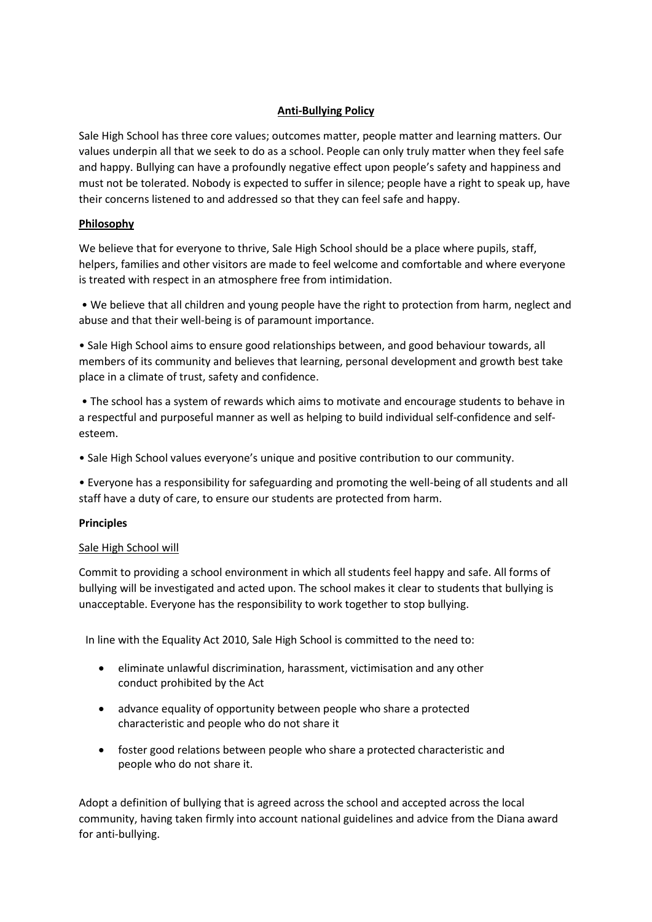# **Anti-Bullying Policy**

Sale High School has three core values; outcomes matter, people matter and learning matters. Our values underpin all that we seek to do as a school. People can only truly matter when they feel safe and happy. Bullying can have a profoundly negative effect upon people's safety and happiness and must not be tolerated. Nobody is expected to suffer in silence; people have a right to speak up, have their concerns listened to and addressed so that they can feel safe and happy.

# **Philosophy**

We believe that for everyone to thrive, Sale High School should be a place where pupils, staff, helpers, families and other visitors are made to feel welcome and comfortable and where everyone is treated with respect in an atmosphere free from intimidation.

• We believe that all children and young people have the right to protection from harm, neglect and abuse and that their well-being is of paramount importance.

• Sale High School aims to ensure good relationships between, and good behaviour towards, all members of its community and believes that learning, personal development and growth best take place in a climate of trust, safety and confidence.

• The school has a system of rewards which aims to motivate and encourage students to behave in a respectful and purposeful manner as well as helping to build individual self-confidence and selfesteem.

• Sale High School values everyone's unique and positive contribution to our community.

• Everyone has a responsibility for safeguarding and promoting the well-being of all students and all staff have a duty of care, to ensure our students are protected from harm.

# **Principles**

# Sale High School will

Commit to providing a school environment in which all students feel happy and safe. All forms of bullying will be investigated and acted upon. The school makes it clear to students that bullying is unacceptable. Everyone has the responsibility to work together to stop bullying.

In line with the Equality Act 2010, Sale High School is committed to the need to:

- eliminate unlawful discrimination, harassment, victimisation and any other conduct prohibited by the Act
- advance equality of opportunity between people who share a protected characteristic and people who do not share it
- foster good relations between people who share a protected characteristic and people who do not share it.

Adopt a definition of bullying that is agreed across the school and accepted across the local community, having taken firmly into account national guidelines and advice from the Diana award for anti-bullying.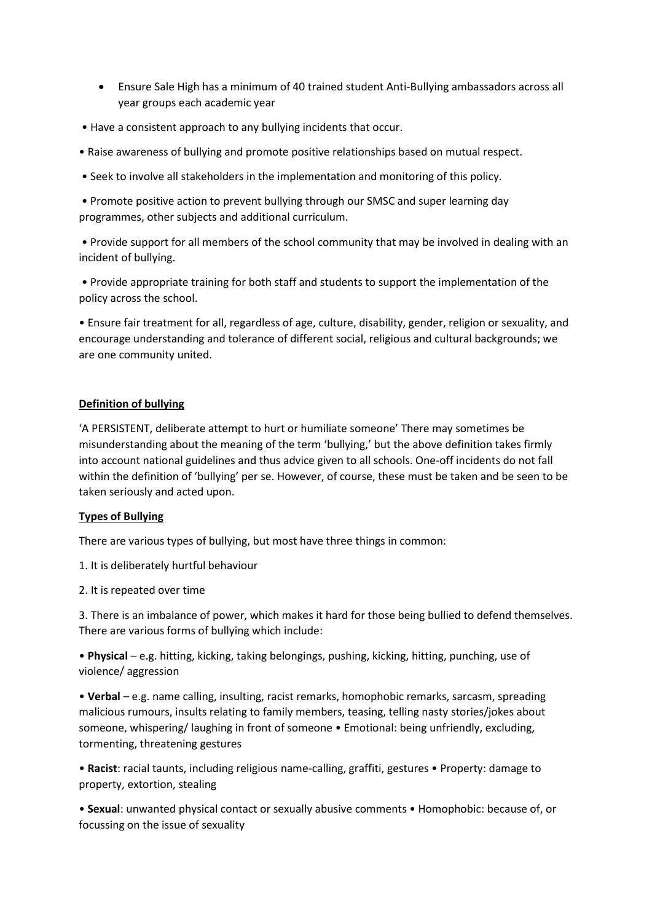- Ensure Sale High has a minimum of 40 trained student Anti-Bullying ambassadors across all year groups each academic year
- Have a consistent approach to any bullying incidents that occur.
- Raise awareness of bullying and promote positive relationships based on mutual respect.
- Seek to involve all stakeholders in the implementation and monitoring of this policy.

• Promote positive action to prevent bullying through our SMSC and super learning day programmes, other subjects and additional curriculum.

• Provide support for all members of the school community that may be involved in dealing with an incident of bullying.

• Provide appropriate training for both staff and students to support the implementation of the policy across the school.

• Ensure fair treatment for all, regardless of age, culture, disability, gender, religion or sexuality, and encourage understanding and tolerance of different social, religious and cultural backgrounds; we are one community united.

## **Definition of bullying**

'A PERSISTENT, deliberate attempt to hurt or humiliate someone' There may sometimes be misunderstanding about the meaning of the term 'bullying,' but the above definition takes firmly into account national guidelines and thus advice given to all schools. One-off incidents do not fall within the definition of 'bullying' per se. However, of course, these must be taken and be seen to be taken seriously and acted upon.

## **Types of Bullying**

There are various types of bullying, but most have three things in common:

1. It is deliberately hurtful behaviour

2. It is repeated over time

3. There is an imbalance of power, which makes it hard for those being bullied to defend themselves. There are various forms of bullying which include:

• **Physical** – e.g. hitting, kicking, taking belongings, pushing, kicking, hitting, punching, use of violence/ aggression

• **Verbal** – e.g. name calling, insulting, racist remarks, homophobic remarks, sarcasm, spreading malicious rumours, insults relating to family members, teasing, telling nasty stories/jokes about someone, whispering/ laughing in front of someone • Emotional: being unfriendly, excluding, tormenting, threatening gestures

• **Racist**: racial taunts, including religious name-calling, graffiti, gestures • Property: damage to property, extortion, stealing

• **Sexual**: unwanted physical contact or sexually abusive comments • Homophobic: because of, or focussing on the issue of sexuality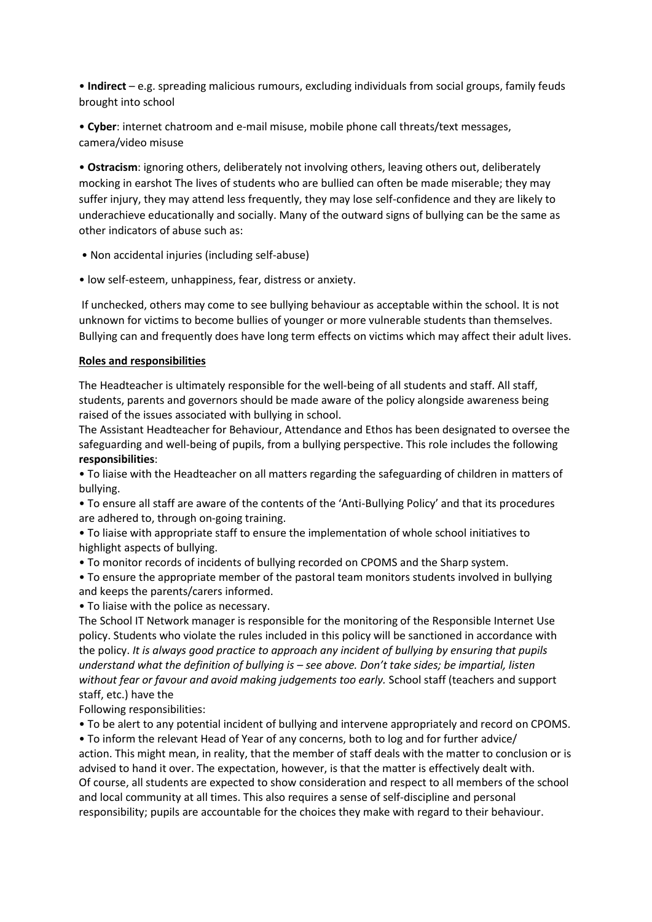• **Indirect** – e.g. spreading malicious rumours, excluding individuals from social groups, family feuds brought into school

• **Cyber**: internet chatroom and e-mail misuse, mobile phone call threats/text messages, camera/video misuse

• **Ostracism**: ignoring others, deliberately not involving others, leaving others out, deliberately mocking in earshot The lives of students who are bullied can often be made miserable; they may suffer injury, they may attend less frequently, they may lose self-confidence and they are likely to underachieve educationally and socially. Many of the outward signs of bullying can be the same as other indicators of abuse such as:

- Non accidental injuries (including self-abuse)
- low self-esteem, unhappiness, fear, distress or anxiety.

 If unchecked, others may come to see bullying behaviour as acceptable within the school. It is not unknown for victims to become bullies of younger or more vulnerable students than themselves. Bullying can and frequently does have long term effects on victims which may affect their adult lives.

## **Roles and responsibilities**

The Headteacher is ultimately responsible for the well-being of all students and staff. All staff, students, parents and governors should be made aware of the policy alongside awareness being raised of the issues associated with bullying in school.

The Assistant Headteacher for Behaviour, Attendance and Ethos has been designated to oversee the safeguarding and well-being of pupils, from a bullying perspective. This role includes the following **responsibilities**:

• To liaise with the Headteacher on all matters regarding the safeguarding of children in matters of bullying.

• To ensure all staff are aware of the contents of the 'Anti-Bullying Policy' and that its procedures are adhered to, through on-going training.

• To liaise with appropriate staff to ensure the implementation of whole school initiatives to highlight aspects of bullying.

• To monitor records of incidents of bullying recorded on CPOMS and the Sharp system.

• To ensure the appropriate member of the pastoral team monitors students involved in bullying and keeps the parents/carers informed.

• To liaise with the police as necessary.

The School IT Network manager is responsible for the monitoring of the Responsible Internet Use policy. Students who violate the rules included in this policy will be sanctioned in accordance with the policy. *It is always good practice to approach any incident of bullying by ensuring that pupils understand what the definition of bullying is – see above. Don't take sides; be impartial, listen without fear or favour and avoid making judgements too early.* School staff (teachers and support staff, etc.) have the

Following responsibilities:

• To be alert to any potential incident of bullying and intervene appropriately and record on CPOMS. • To inform the relevant Head of Year of any concerns, both to log and for further advice/

action. This might mean, in reality, that the member of staff deals with the matter to conclusion or is advised to hand it over. The expectation, however, is that the matter is effectively dealt with. Of course, all students are expected to show consideration and respect to all members of the school and local community at all times. This also requires a sense of self-discipline and personal responsibility; pupils are accountable for the choices they make with regard to their behaviour.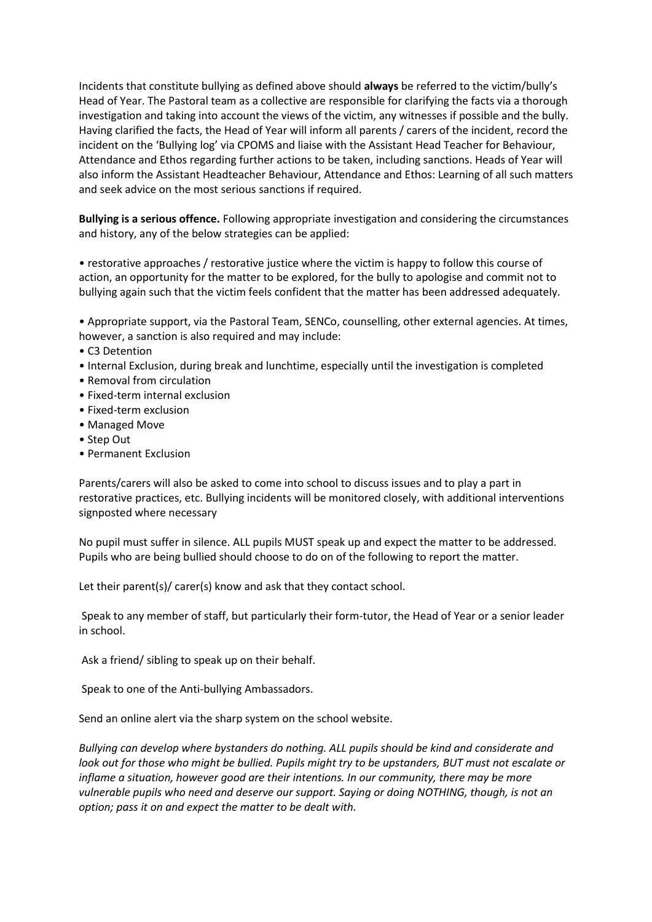Incidents that constitute bullying as defined above should **always** be referred to the victim/bully's Head of Year. The Pastoral team as a collective are responsible for clarifying the facts via a thorough investigation and taking into account the views of the victim, any witnesses if possible and the bully. Having clarified the facts, the Head of Year will inform all parents / carers of the incident, record the incident on the 'Bullying log' via CPOMS and liaise with the Assistant Head Teacher for Behaviour, Attendance and Ethos regarding further actions to be taken, including sanctions. Heads of Year will also inform the Assistant Headteacher Behaviour, Attendance and Ethos: Learning of all such matters and seek advice on the most serious sanctions if required.

**Bullying is a serious offence.** Following appropriate investigation and considering the circumstances and history, any of the below strategies can be applied:

• restorative approaches / restorative justice where the victim is happy to follow this course of action, an opportunity for the matter to be explored, for the bully to apologise and commit not to bullying again such that the victim feels confident that the matter has been addressed adequately.

• Appropriate support, via the Pastoral Team, SENCo, counselling, other external agencies. At times, however, a sanction is also required and may include:

- C3 Detention
- Internal Exclusion, during break and lunchtime, especially until the investigation is completed
- Removal from circulation
- Fixed-term internal exclusion
- Fixed-term exclusion
- Managed Move
- Step Out
- Permanent Exclusion

Parents/carers will also be asked to come into school to discuss issues and to play a part in restorative practices, etc. Bullying incidents will be monitored closely, with additional interventions signposted where necessary

No pupil must suffer in silence. ALL pupils MUST speak up and expect the matter to be addressed. Pupils who are being bullied should choose to do on of the following to report the matter.

Let their parent(s)/ carer(s) know and ask that they contact school.

 Speak to any member of staff, but particularly their form-tutor, the Head of Year or a senior leader in school.

Ask a friend/ sibling to speak up on their behalf.

Speak to one of the Anti-bullying Ambassadors.

Send an online alert via the sharp system on the school website.

*Bullying can develop where bystanders do nothing. ALL pupils should be kind and considerate and look out for those who might be bullied. Pupils might try to be upstanders, BUT must not escalate or inflame a situation, however good are their intentions. In our community, there may be more vulnerable pupils who need and deserve our support. Saying or doing NOTHING, though, is not an option; pass it on and expect the matter to be dealt with.*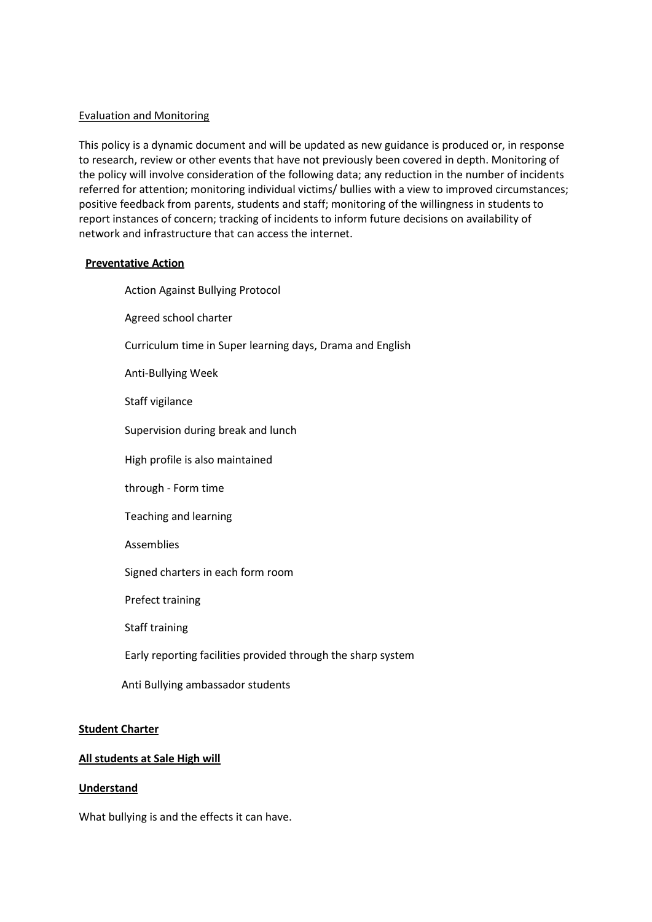#### Evaluation and Monitoring

This policy is a dynamic document and will be updated as new guidance is produced or, in response to research, review or other events that have not previously been covered in depth. Monitoring of the policy will involve consideration of the following data; any reduction in the number of incidents referred for attention; monitoring individual victims/ bullies with a view to improved circumstances; positive feedback from parents, students and staff; monitoring of the willingness in students to report instances of concern; tracking of incidents to inform future decisions on availability of network and infrastructure that can access the internet.

#### **Preventative Action**

Action Against Bullying Protocol

Agreed school charter

Curriculum time in Super learning days, Drama and English

Anti-Bullying Week

Staff vigilance

Supervision during break and lunch

High profile is also maintained

through - Form time

Teaching and learning

Assemblies

Signed charters in each form room

Prefect training

Staff training

Early reporting facilities provided through the sharp system

Anti Bullying ambassador students

#### **Student Charter**

#### **All students at Sale High will**

### **Understand**

What bullying is and the effects it can have.